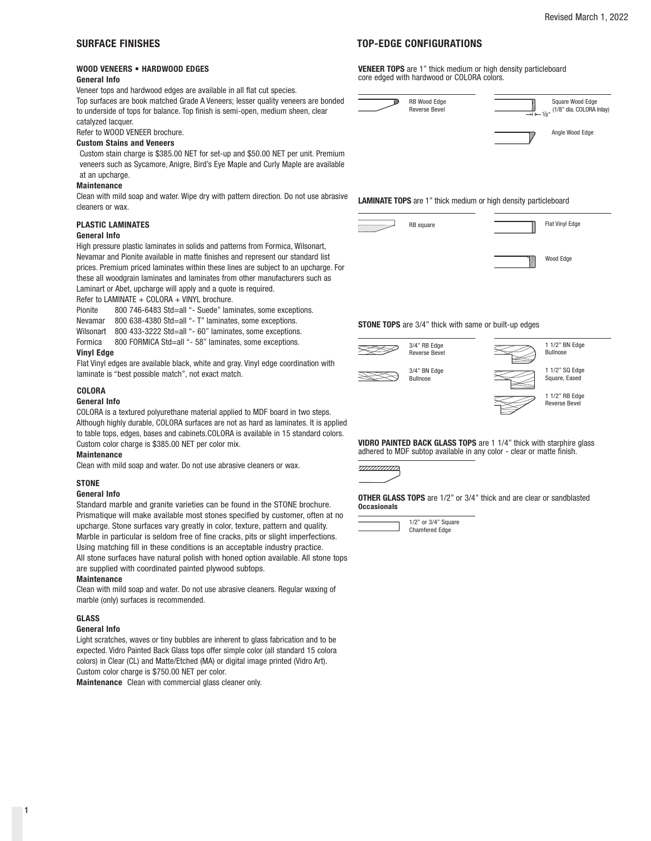# **WOOD VENEERS • HARDWOOD EDGES**

# **General Info**

Veneer tops and hardwood edges are available in all flat cut species.

Top surfaces are book matched Grade A Veneers; lesser quality veneers are bonded to underside of tops for balance. Top finish is semi-open, medium sheen, clear catalyzed lacquer.

Refer to WOOD VENEER brochure.

#### **Custom Stains and Veneers**

Custom stain charge is \$385.00 NET for set-up and \$50.00 NET per unit. Premium veneers such as Sycamore, Anigre, Bird's Eye Maple and Curly Maple are available at an upcharge.

#### **Maintenance**

Clean with mild soap and water. Wipe dry with pattern direction. Do not use abrasive cleaners or wax.

# **PLASTIC LAMINATES**

#### **General Info**

High pressure plastic laminates in solids and patterns from Formica, Wilsonart, Nevamar and Pionite available in matte finishes and represent our standard list prices. Premium priced laminates within these lines are subject to an upcharge. For these all woodgrain laminates and laminates from other manufacturers such as Laminart or Abet, upcharge will apply and a quote is required.

Refer to LAMINATE + COLORA + VINYL brochure.

Pionite 800 746-6483 Std=all "- Suede" laminates, some exceptions.

Nevamar 800 638-4380 Std=all "- T" laminates, some exceptions.

Wilsonart 800 433-3222 Std=all "- 60" laminates, some exceptions.

Formica 800 FORMICA Std=all "- 58" laminates, some exceptions.

#### **Vinyl Edge**

Flat Vinyl edges are available black, white and gray. Vinyl edge coordination with laminate is "best possible match", not exact match.

# **COLORA**

# **General Info**

COLORA is a textured polyurethane material applied to MDF board in two steps. Although highly durable, COLORA surfaces are not as hard as laminates. It is applied to table tops, edges, bases and cabinets.COLORA is available in 15 standard colors. Custom color charge is \$385.00 NET per color mix.

#### **Maintenance**

Clean with mild soap and water. Do not use abrasive cleaners or wax.

### **STONE**

#### **General Info**

Standard marble and granite varieties can be found in the STONE brochure. Prismatique will make available most stones specified by customer, often at no upcharge. Stone surfaces vary greatly in color, texture, pattern and quality. Marble in particular is seldom free of fine cracks, pits or slight imperfections. Using matching fill in these conditions is an acceptable industry practice. All stone surfaces have natural polish with honed option available. All stone tops are supplied with coordinated painted plywood subtops.

#### **Maintenance**

Clean with mild soap and water. Do not use abrasive cleaners. Regular waxing of marble (only) surfaces is recommended.

### **GLASS**

### **General Info**

Light scratches, waves or tiny bubbles are inherent to glass fabrication and to be expected. Vidro Painted Back Glass tops offer simple color (all standard 15 colora colors) in Clear (CL) and Matte/Etched (MA) or digital image printed (Vidro Art). Custom color charge is \$750.00 NET per color.

**Maintenance** Clean with commercial glass cleaner only.

# **SURFACE FINISHES TOP-EDGE CONFIGURATIONS**

**VENEER TOPS** are 1" thick medium or high density particleboard core edged with hardwood or COLORA colors.



**LAMINATE TOPS** are 1" thick medium or high density particleboard



**STONE TOPS** are 3/4" thick with same or built-up edges





 $\overline{a}$ 

 1 1/2" BN Edge Bullnose

 1 1/2" SQ Edge Square, Eased



**VIDRO PAINTED BACK GLASS TOPS** are 1 1/4" thick with starphire glass adhered to MDF subtop available in any color - clear or matte finish.



**OTHER GLASS TOPS** are 1/2" or 3/4" thick and are clear or sandblasted **Occasionals**



 1/2" or 3/4" Square Chamfered Edge